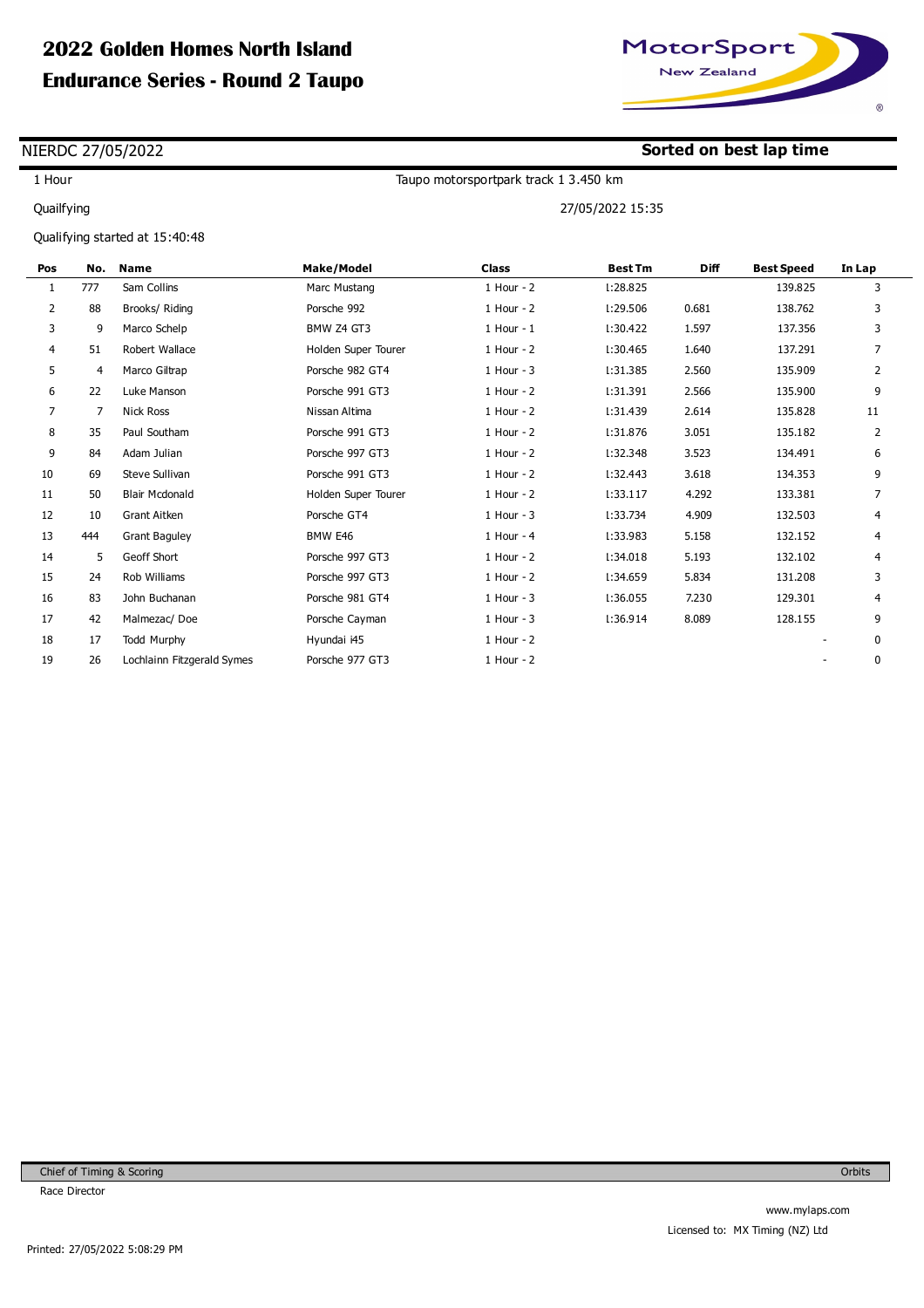

**Sorted on best lap time**

## NIERDC 27/05/2022

1 Hour

Quailfying

Taupo motorsportpark track 1 3.450 km

27/05/2022 15:35

Qualifying started at 15:40:48

| Pos            | No. | <b>Name</b>                | <b>Make/Model</b>   | <b>Class</b>   | <b>Best Tm</b> | <b>Diff</b> | <b>Best Speed</b> | In Lap |
|----------------|-----|----------------------------|---------------------|----------------|----------------|-------------|-------------------|--------|
| 1              | 777 | Sam Collins                | Marc Mustang        | 1 Hour - 2     | L:28.825       |             | 139.825           | 3      |
| $\overline{2}$ | 88  | Brooks/ Riding             | Porsche 992         | 1 Hour - 2     | L:29.506       | 0.681       | 138.762           | 3      |
| 3              | 9   | Marco Schelp               | BMW Z4 GT3          | $1$ Hour - $1$ | 1:30.422       | 1.597       | 137.356           | 3      |
| 4              | 51  | Robert Wallace             | Holden Super Tourer | 1 Hour - 2     | 1:30.465       | 1.640       | 137.291           | 7      |
| 5              | 4   | Marco Giltrap              | Porsche 982 GT4     | $1$ Hour - 3   | 1:31.385       | 2.560       | 135.909           | 2      |
| 6              | 22  | Luke Manson                | Porsche 991 GT3     | 1 Hour - 2     | 1:31.391       | 2.566       | 135.900           | 9      |
| $\overline{7}$ | 7   | <b>Nick Ross</b>           | Nissan Altima       | 1 Hour - 2     | l:31.439       | 2.614       | 135.828           | 11     |
| 8              | 35  | Paul Southam               | Porsche 991 GT3     | 1 Hour - 2     | l:31.876       | 3.051       | 135.182           | 2      |
| 9              | 84  | Adam Julian                | Porsche 997 GT3     | 1 Hour - 2     | l:32.348       | 3.523       | 134.491           | 6      |
| 10             | 69  | <b>Steve Sullivan</b>      | Porsche 991 GT3     | 1 Hour - 2     | 1:32.443       | 3.618       | 134.353           | 9      |
| 11             | 50  | <b>Blair Mcdonald</b>      | Holden Super Tourer | 1 Hour - 2     | 1:33.117       | 4.292       | 133.381           | 7      |
| 12             | 10  | <b>Grant Aitken</b>        | Porsche GT4         | $1$ Hour - $3$ | 1:33.734       | 4.909       | 132.503           | 4      |
| 13             | 444 | <b>Grant Baguley</b>       | BMW E46             | 1 Hour - 4     | L:33.983       | 5.158       | 132.152           | 4      |
| 14             | 5   | Geoff Short                | Porsche 997 GT3     | 1 Hour - 2     | 1:34.018       | 5.193       | 132.102           | 4      |
| 15             | 24  | Rob Williams               | Porsche 997 GT3     | 1 Hour - 2     | L:34.659       | 5.834       | 131.208           | 3      |
| 16             | 83  | John Buchanan              | Porsche 981 GT4     | 1 Hour - 3     | L:36.055       | 7.230       | 129.301           | 4      |
| 17             | 42  | Malmezac/Doe               | Porsche Cayman      | $1$ Hour - 3   | l:36.914       | 8.089       | 128.155           | 9      |
| 18             | 17  | <b>Todd Murphy</b>         | Hyundai i45         | 1 Hour - 2     |                |             |                   | 0      |
| 19             | 26  | Lochlainn Fitzgerald Symes | Porsche 977 GT3     | 1 Hour - 2     |                |             |                   | 0      |
|                |     |                            |                     |                |                |             |                   |        |

Orbits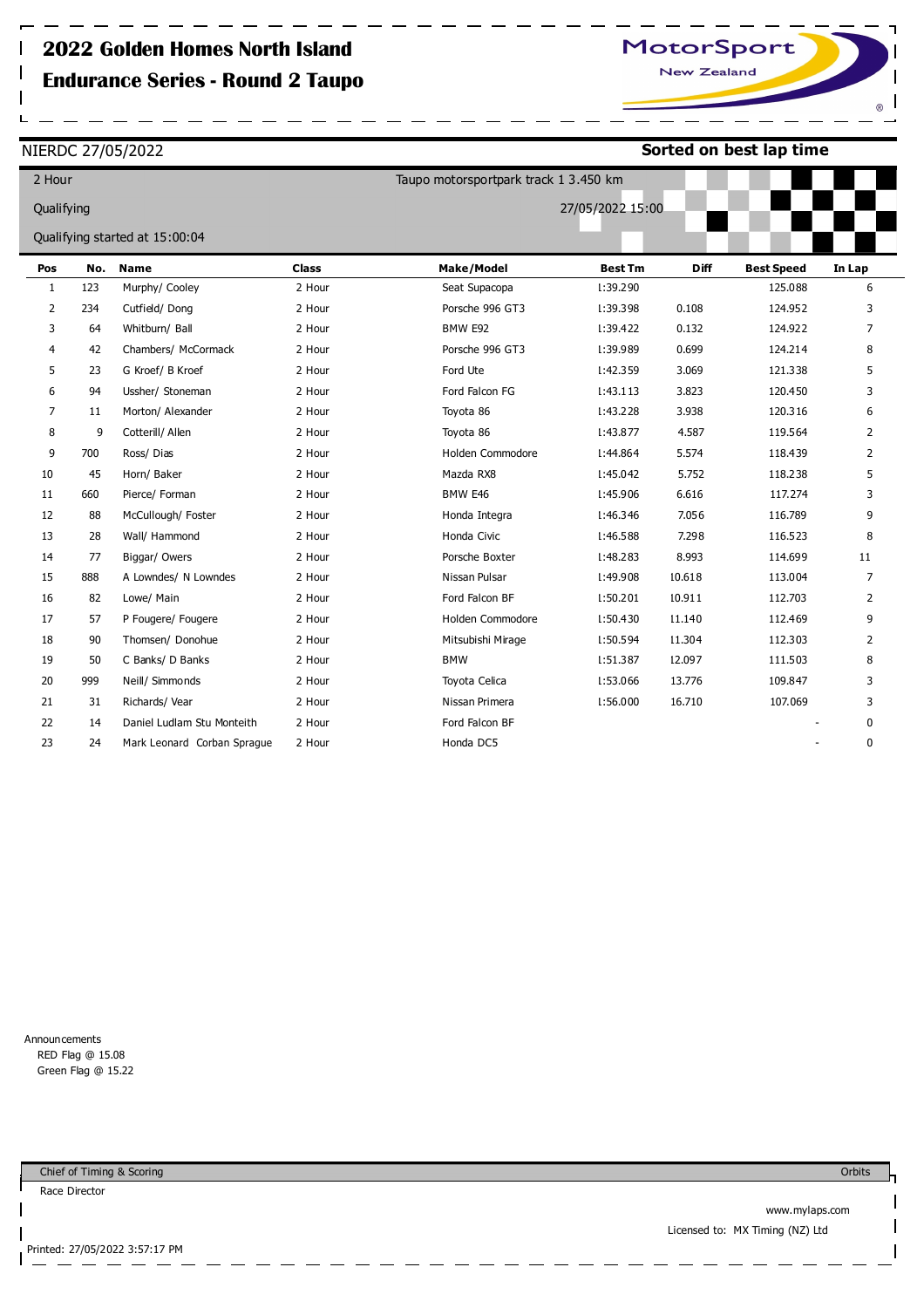NIERDC 27/05/2022

 $\mathsf{l}$ 

 $\mathsf{l}$ 

**Sorted on best lap time**

| 2 Hour                         |     |                             |              | Taupo motorsportpark track 1 3.450 km |                |             |                   |                |
|--------------------------------|-----|-----------------------------|--------------|---------------------------------------|----------------|-------------|-------------------|----------------|
| Qualifying                     |     |                             |              | 27/05/2022 15:00                      |                |             |                   |                |
| Qualifying started at 15:00:04 |     |                             |              |                                       |                |             |                   |                |
| Pos                            | No. | <b>Name</b>                 | <b>Class</b> | Make/Model                            | <b>Best Tm</b> | <b>Diff</b> | <b>Best Speed</b> | In Lap         |
| $\mathbf{1}$                   | 123 | Murphy/ Cooley              | 2 Hour       | Seat Supacopa                         | l:39.290       |             | 125.088           | 6              |
| $\overline{2}$                 | 234 | Cutfield/Dong               | 2 Hour       | Porsche 996 GT3                       | L:39.398       | 0.108       | 124.952           | 3              |
| 3                              | 64  | Whitburn/ Ball              | 2 Hour       | BMW E92                               | l:39.422       | 0.132       | 124.922           | 7              |
| 4                              | 42  | Chambers/ McCormack         | 2 Hour       | Porsche 996 GT3                       | L:39.989       | 0.699       | 124.214           | 8              |
| 5                              | 23  | G Kroef/ B Kroef            | 2 Hour       | Ford Ute                              | 1:42.359       | 3.069       | 121.338           | 5              |
| 6                              | 94  | Ussher/ Stoneman            | 2 Hour       | Ford Falcon FG                        | 1:43.113       | 3.823       | 120.450           | 3              |
| $\overline{7}$                 | 11  | Morton/ Alexander           | 2 Hour       | Toyota 86                             | 1:43.228       | 3.938       | 120.316           | 6              |
| 8                              | 9   | Cotterill/ Allen            | 2 Hour       | Toyota 86                             | L:43.877       | 4.587       | 119.564           | 2              |
| 9                              | 700 | Ross/Dias                   | 2 Hour       | Holden Commodore                      | L:44.864       | 5.574       | 118.439           | 2              |
| 10                             | 45  | Horn/ Baker                 | 2 Hour       | Mazda RX8                             | l:45.042       | 5.752       | 118.238           | 5              |
| 11                             | 660 | Pierce/ Forman              | 2 Hour       | BMW E46                               | L:45.906       | 6.616       | 117.274           | 3              |
| 12                             | 88  | McCullough/ Foster          | 2 Hour       | Honda Integra                         | l:46.346       | 7.056       | 116.789           | 9              |
| 13                             | 28  | Wall/ Hammond               | 2 Hour       | Honda Civic                           | L:46.588       | 7.298       | 116.523           | 8              |
| 14                             | 77  | Biggar/ Owers               | 2 Hour       | Porsche Boxter                        | L:48.283       | 8.993       | 114.699           | 11             |
| 15                             | 888 | A Lowndes/ N Lowndes        | 2 Hour       | Nissan Pulsar                         | L:49.908       | 10.618      | 113.004           | 7              |
| 16                             | 82  | Lowe/ Main                  | 2 Hour       | Ford Falcon BF                        | 1:50.201       | 10.911      | 112.703           | 2              |
| 17                             | 57  | P Fougere/ Fougere          | 2 Hour       | Holden Commodore                      | 1:50.430       | 11.140      | 112.469           | 9              |
| 18                             | 90  | Thomsen/ Donohue            | 2 Hour       | Mitsubishi Mirage                     | L:50.594       | 11.304      | 112.303           | $\overline{2}$ |
| 19                             | 50  | C Banks/ D Banks            | 2 Hour       | <b>BMW</b>                            | L:51.387       | 12.097      | 111.503           | 8              |
| 20                             | 999 | Neill/ Simmonds             | 2 Hour       | Toyota Celica                         | L:53.066       | 13.776      | 109.847           | 3              |
| 21                             | 31  | Richards/ Vear              | 2 Hour       | Nissan Primera                        | L:56.000       | 16.710      | 107.069           | 3              |
| 22                             | 14  | Daniel Ludlam Stu Monteith  | 2 Hour       | Ford Falcon BF                        |                |             |                   | 0              |
| 23                             | 24  | Mark Leonard Corban Sprague | 2 Hour       | Honda DC5                             |                |             |                   | 0              |

Announcements RED Flag @ 15.08 Green Flag @ 15.22

Chief of Timing & Scoring

Race Director

I  $\mathsf{l}$  **Orbits** 

www.mylaps.com Licensed to: MX Timing (NZ) Ltd